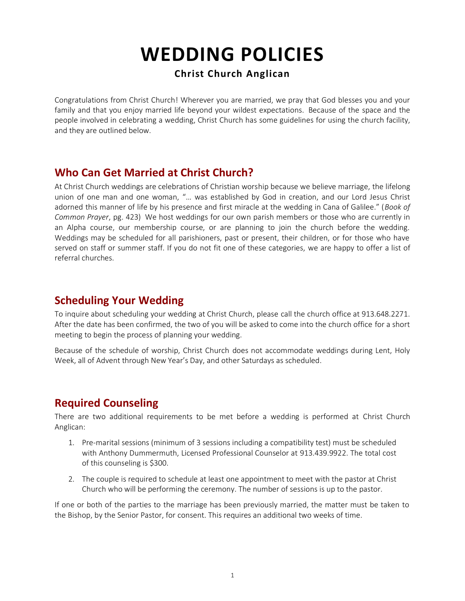# **WEDDING POLICIES Christ Church Anglican**

Congratulations from Christ Church! Wherever you are married, we pray that God blesses you and your family and that you enjoy married life beyond your wildest expectations. Because of the space and the people involved in celebrating a wedding, Christ Church has some guidelines for using the church facility, and they are outlined below.

### **Who Can Get Married at Christ Church?**

At Christ Church weddings are celebrations of Christian worship because we believe marriage, the lifelong union of one man and one woman, "… was established by God in creation, and our Lord Jesus Christ adorned this manner of life by his presence and first miracle at the wedding in Cana of Galilee." (*Book of Common Prayer*, pg. 423) We host weddings for our own parish members or those who are currently in an Alpha course, our membership course, or are planning to join the church before the wedding. Weddings may be scheduled for all parishioners, past or present, their children, or for those who have served on staff or summer staff. If you do not fit one of these categories, we are happy to offer a list of referral churches.

### **Scheduling Your Wedding**

To inquire about scheduling your wedding at Christ Church, please call the church office at 913.648.2271. After the date has been confirmed, the two of you will be asked to come into the church office for a short meeting to begin the process of planning your wedding.

Because of the schedule of worship, Christ Church does not accommodate weddings during Lent, Holy Week, all of Advent through New Year's Day, and other Saturdays as scheduled.

### **Required Counseling**

There are two additional requirements to be met before a wedding is performed at Christ Church Anglican:

- 1. Pre-marital sessions (minimum of 3 sessions including a compatibility test) must be scheduled with Anthony Dummermuth, Licensed Professional Counselor at 913.439.9922. The total cost of this counseling is \$300.
- 2. The couple is required to schedule at least one appointment to meet with the pastor at Christ Church who will be performing the ceremony. The number of sessions is up to the pastor.

If one or both of the parties to the marriage has been previously married, the matter must be taken to the Bishop, by the Senior Pastor, for consent. This requires an additional two weeks of time.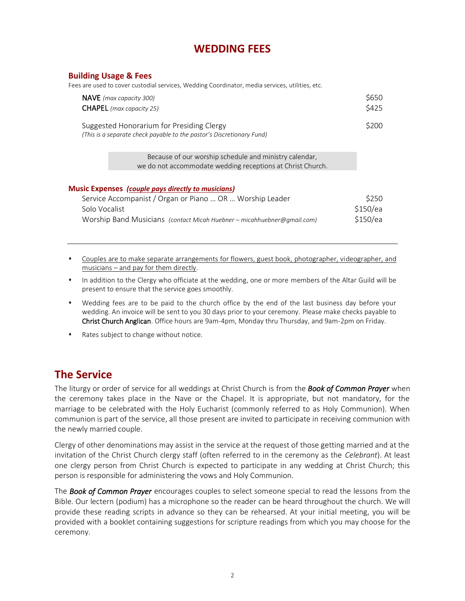### **WEDDING FEES**

#### **Building Usage & Fees**

Fees are used to cover custodial services, Wedding Coordinator, media services, utilities, etc.

| <b>NAVE</b> (max capacity 300)                                                                                     | S650             |
|--------------------------------------------------------------------------------------------------------------------|------------------|
| <b>CHAPEL</b> (max capacity 25)                                                                                    | S425             |
| Suggested Honorarium for Presiding Clergy<br>(This is a separate check payable to the pastor's Discretionary Fund) | S <sub>200</sub> |

Because of our worship schedule and ministry calendar, we do not accommodate wedding receptions at Christ Church.

| <b>Music Expenses (couple pays directly to musicians)</b>               |          |
|-------------------------------------------------------------------------|----------|
| Service Accompanist / Organ or Piano  OR  Worship Leader                | \$250    |
| Solo Vocalist                                                           | \$150/ea |
| Worship Band Musicians (contact Micah Huebner – micahhuebner@gmail.com) | \$150/ea |

- ⬧ Couples are to make separate arrangements for flowers, guest book, photographer, videographer, and musicians – and pay for them directly.
- ⬧ In addition to the Clergy who officiate at the wedding, one or more members of the Altar Guild will be present to ensure that the service goes smoothly.
- Wedding fees are to be paid to the church office by the end of the last business day before your wedding. An invoice will be sent to you 30 days prior to your ceremony. Please make checks payable to Christ Church Anglican. Office hours are 9am-4pm, Monday thru Thursday, and 9am-2pm on Friday.
- ⬧ Rates subject to change without notice.

### **The Service**

The liturgy or order of service for all weddings at Christ Church is from the *Book of Common Prayer* when the ceremony takes place in the Nave or the Chapel. It is appropriate, but not mandatory, for the marriage to be celebrated with the Holy Eucharist (commonly referred to as Holy Communion). When communion is part of the service, all those present are invited to participate in receiving communion with the newly married couple.

Clergy of other denominations may assist in the service at the request of those getting married and at the invitation of the Christ Church clergy staff (often referred to in the ceremony as the *Celebrant*). At least one clergy person from Christ Church is expected to participate in any wedding at Christ Church; this person is responsible for administering the vows and Holy Communion.

The *Book of Common Prayer* encourages couples to select someone special to read the lessons from the Bible. Our lectern (podium) has a microphone so the reader can be heard throughout the church. We will provide these reading scripts in advance so they can be rehearsed. At your initial meeting, you will be provided with a booklet containing suggestions for scripture readings from which you may choose for the ceremony.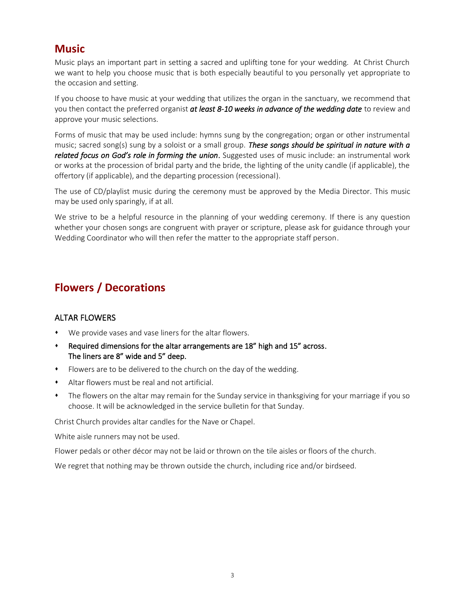### **Music**

Music plays an important part in setting a sacred and uplifting tone for your wedding. At Christ Church we want to help you choose music that is both especially beautiful to you personally yet appropriate to the occasion and setting.

If you choose to have music at your wedding that utilizes the organ in the sanctuary, we recommend that you then contact the preferred organist *at least 8-10 weeks in advance of the wedding date* to review and approve your music selections.

Forms of music that may be used include: hymns sung by the congregation; organ or other instrumental music; sacred song(s) sung by a soloist or a small group. *These songs should be spiritual in nature with a related focus on God's role in forming the union*. Suggested uses of music include: an instrumental work or works at the procession of bridal party and the bride, the lighting of the unity candle (if applicable), the offertory (if applicable), and the departing procession (recessional).

The use of CD/playlist music during the ceremony must be approved by the Media Director. This music may be used only sparingly, if at all.

We strive to be a helpful resource in the planning of your wedding ceremony. If there is any question whether your chosen songs are congruent with prayer or scripture, please ask for guidance through your Wedding Coordinator who will then refer the matter to the appropriate staff person.

### **Flowers / Decorations**

#### ALTAR FLOWERS

- ⬧ We provide vases and vase liners for the altar flowers.
- ⬧ Required dimensions for the altar arrangements are 18" high and 15" across. The liners are 8" wide and 5" deep.
- ⬧ Flowers are to be delivered to the church on the day of the wedding.
- ⬧ Altar flowers must be real and not artificial.
- The flowers on the altar may remain for the Sunday service in thanksgiving for your marriage if you so choose. It will be acknowledged in the service bulletin for that Sunday.

Christ Church provides altar candles for the Nave or Chapel.

White aisle runners may not be used.

Flower pedals or other décor may not be laid or thrown on the tile aisles or floors of the church.

We regret that nothing may be thrown outside the church, including rice and/or birdseed.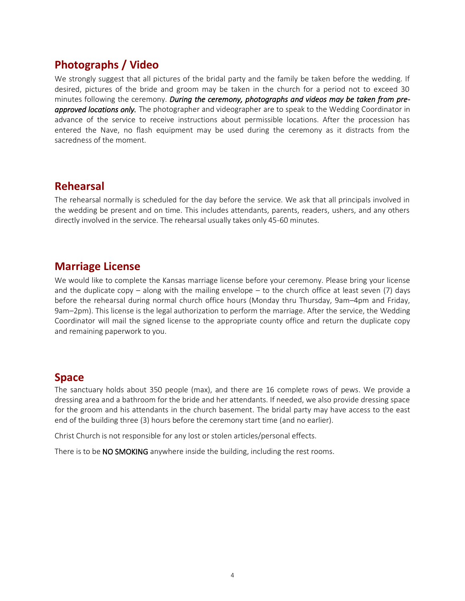### **Photographs / Video**

We strongly suggest that all pictures of the bridal party and the family be taken before the wedding. If desired, pictures of the bride and groom may be taken in the church for a period not to exceed 30 minutes following the ceremony. *During the ceremony, photographs and videos may be taken from preapproved locations only.* The photographer and videographer are to speak to the Wedding Coordinator in advance of the service to receive instructions about permissible locations. After the procession has entered the Nave, no flash equipment may be used during the ceremony as it distracts from the sacredness of the moment.

### **Rehearsal**

The rehearsal normally is scheduled for the day before the service. We ask that all principals involved in the wedding be present and on time. This includes attendants, parents, readers, ushers, and any others directly involved in the service. The rehearsal usually takes only 45-60 minutes.

### **Marriage License**

We would like to complete the Kansas marriage license before your ceremony. Please bring your license and the duplicate copy – along with the mailing envelope – to the church office at least seven (7) days before the rehearsal during normal church office hours (Monday thru Thursday, 9am–4pm and Friday, 9am–2pm). This license is the legal authorization to perform the marriage. After the service, the Wedding Coordinator will mail the signed license to the appropriate county office and return the duplicate copy and remaining paperwork to you.

### **Space**

The sanctuary holds about 350 people (max), and there are 16 complete rows of pews. We provide a dressing area and a bathroom for the bride and her attendants. If needed, we also provide dressing space for the groom and his attendants in the church basement. The bridal party may have access to the east end of the building three (3) hours before the ceremony start time (and no earlier).

Christ Church is not responsible for any lost or stolen articles/personal effects.

There is to be NO SMOKING anywhere inside the building, including the rest rooms.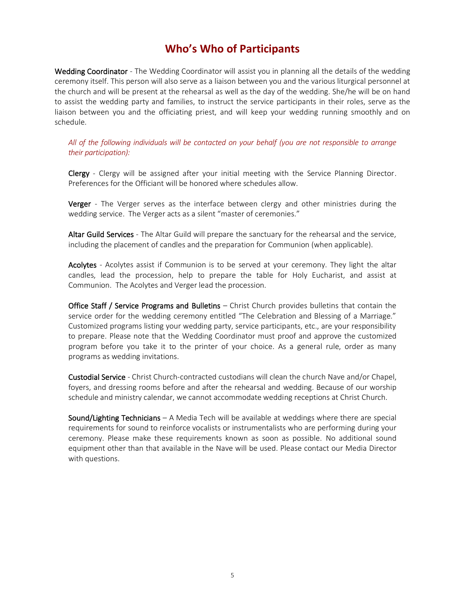### **Who's Who of Participants**

Wedding Coordinator - The Wedding Coordinator will assist you in planning all the details of the wedding ceremony itself. This person will also serve as a liaison between you and the various liturgical personnel at the church and will be present at the rehearsal as well as the day of the wedding. She/he will be on hand to assist the wedding party and families, to instruct the service participants in their roles, serve as the liaison between you and the officiating priest, and will keep your wedding running smoothly and on schedule.

*All of the following individuals will be contacted on your behalf (you are not responsible to arrange their participation):*

Clergy - Clergy will be assigned after your initial meeting with the Service Planning Director. Preferences for the Officiant will be honored where schedules allow.

**Verger** - The Verger serves as the interface between clergy and other ministries during the wedding service. The Verger acts as a silent "master of ceremonies."

Altar Guild Services - The Altar Guild will prepare the sanctuary for the rehearsal and the service, including the placement of candles and the preparation for Communion (when applicable).

Acolytes - Acolytes assist if Communion is to be served at your ceremony. They light the altar candles, lead the procession, help to prepare the table for Holy Eucharist, and assist at Communion. The Acolytes and Verger lead the procession.

Office Staff / Service Programs and Bulletins – Christ Church provides bulletins that contain the service order for the wedding ceremony entitled "The Celebration and Blessing of a Marriage." Customized programs listing your wedding party, service participants, etc., are your responsibility to prepare. Please note that the Wedding Coordinator must proof and approve the customized program before you take it to the printer of your choice. As a general rule, order as many programs as wedding invitations.

Custodial Service - Christ Church-contracted custodians will clean the church Nave and/or Chapel, foyers, and dressing rooms before and after the rehearsal and wedding. Because of our worship schedule and ministry calendar, we cannot accommodate wedding receptions at Christ Church.

Sound/Lighting Technicians – A Media Tech will be available at weddings where there are special requirements for sound to reinforce vocalists or instrumentalists who are performing during your ceremony. Please make these requirements known as soon as possible. No additional sound equipment other than that available in the Nave will be used. Please contact our Media Director with questions.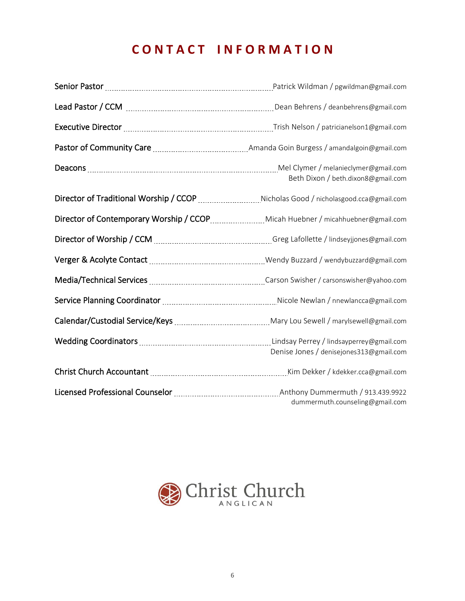## **C O N T A C T I N F O R M A T I O N**

| Senior Pastor [11, 1201] [2010] Patrick Wildman / pgwildman@gmail.com                                 |                                         |
|-------------------------------------------------------------------------------------------------------|-----------------------------------------|
| Lead Pastor / CCM [111] [12] Dean Behrens / deanbehrens@gmail.com                                     |                                         |
| Executive Director [11, 1201] Trish Nelson / patricianelson1@gmail.com                                |                                         |
| Pastor of Community Care [11, 11] Amanda Goin Burgess / amandalgoin@gmail.com                         |                                         |
| Deacons [11] Deacons [11] Deacons [20] Deacons [20] Deacons [20] Mel Clymer / melanieclymer@gmail.com | Beth Dixon / beth.dixon8@gmail.com      |
| Director of Traditional Worship / CCOP [11] [2010] Nicholas Good / nicholasgood.cca@gmail.com         |                                         |
| Director of Contemporary Worship / CCOP  Micah Huebner / micahhuebner@gmail.com                       |                                         |
| Director of Worship / CCM [11] Director Greg Lafollette / lindseyjjones@gmail.com                     |                                         |
| Verger & Acolyte Contact [11, 1201] Wendy Buzzard / wendy buzzard / wendybuzzard@gmail.com            |                                         |
| Media/Technical Services [11, 2011] Media Carson Swisher / carsonswisher@yahoo.com                    |                                         |
| Service Planning Coordinator [111] Service Microsoft Micole Newlan / nnewlancca@gmail.com             |                                         |
| Calendar/Custodial Service/Keys [111] Mary Lou Sewell / marylsewell@gmail.com                         |                                         |
| Wedding Coordinators [11, 1201] Wedding Perrey / lindsay Perrey / lindsayperrey@gmail.com             | Denise Jones / denisejones313@gmail.com |
| Christ Church Accountant [11, 1201] [2010] Kim Dekker / kdekker.cca@gmail.com                         |                                         |
| Licensed Professional Counselor [11, 2010] Anthony Dummermuth / 913.439.9922                          | dummermuth.counseling@gmail.com         |